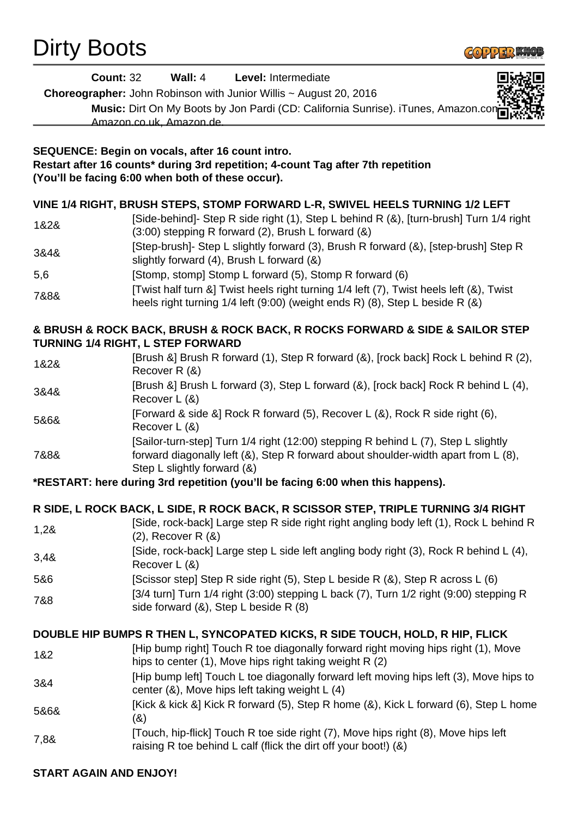## Dirty Boots



| <b>Count: 32</b>                                                                   | Wall: 4<br>Level: Intermediate                                                                                                                                           |
|------------------------------------------------------------------------------------|--------------------------------------------------------------------------------------------------------------------------------------------------------------------------|
|                                                                                    | <b>Choreographer:</b> John Robinson with Junior Willis $\sim$ August 20, 2016                                                                                            |
|                                                                                    | Music: Dirt On My Boots by Jon Pardi (CD: California Sunrise). iTunes, Amazon.con<br>Amazon.co.uk, Amazon.de.                                                            |
|                                                                                    |                                                                                                                                                                          |
|                                                                                    | SEQUENCE: Begin on vocals, after 16 count intro.                                                                                                                         |
|                                                                                    | Restart after 16 counts* during 3rd repetition; 4-count Tag after 7th repetition                                                                                         |
|                                                                                    | (You'll be facing 6:00 when both of these occur).                                                                                                                        |
| VINE 1/4 RIGHT, BRUSH STEPS, STOMP FORWARD L-R, SWIVEL HEELS TURNING 1/2 LEFT      |                                                                                                                                                                          |
|                                                                                    | [Side-behind]- Step R side right (1), Step L behind R (&), [turn-brush] Turn 1/4 right                                                                                   |
| 1&2&                                                                               | (3:00) stepping R forward (2), Brush L forward (&)                                                                                                                       |
|                                                                                    | [Step-brush]- Step L slightly forward (3), Brush R forward (&), [step-brush] Step R                                                                                      |
| 3&4&                                                                               | slightly forward $(4)$ , Brush L forward $(8)$                                                                                                                           |
| 5,6                                                                                | [Stomp, stomp] Stomp L forward (5), Stomp R forward (6)                                                                                                                  |
| 7&8&                                                                               | [Twist half turn &] Twist heels right turning 1/4 left (7), Twist heels left (&), Twist                                                                                  |
|                                                                                    | heels right turning 1/4 left (9:00) (weight ends R) (8), Step L beside R (&)                                                                                             |
| & BRUSH & ROCK BACK, BRUSH & ROCK BACK, R ROCKS FORWARD & SIDE & SAILOR STEP       |                                                                                                                                                                          |
| <b>TURNING 1/4 RIGHT, L STEP FORWARD</b>                                           |                                                                                                                                                                          |
| 1&2&                                                                               | [Brush &] Brush R forward (1), Step R forward (&), [rock back] Rock L behind R (2),                                                                                      |
|                                                                                    | Recover R (&)                                                                                                                                                            |
| 3&4&                                                                               | [Brush &] Brush L forward (3), Step L forward (&), [rock back] Rock R behind L (4),                                                                                      |
|                                                                                    | Recover L (&)                                                                                                                                                            |
| 5&6&                                                                               | [Forward & side &] Rock R forward (5), Recover L (&), Rock R side right (6),<br>Recover L (&)                                                                            |
|                                                                                    | [Sailor-turn-step] Turn 1/4 right (12:00) stepping R behind L (7), Step L slightly                                                                                       |
| 7&8&                                                                               | forward diagonally left (&), Step R forward about shoulder-width apart from L (8),                                                                                       |
|                                                                                    | Step L slightly forward (&)                                                                                                                                              |
|                                                                                    | *RESTART: here during 3rd repetition (you'll be facing 6:00 when this happens).                                                                                          |
| R SIDE, L ROCK BACK, L SIDE, R ROCK BACK, R SCISSOR STEP, TRIPLE TURNING 3/4 RIGHT |                                                                                                                                                                          |
|                                                                                    | [Side, rock-back] Large step R side right right angling body left (1), Rock L behind R                                                                                   |
| 1,28                                                                               | $(2)$ , Recover R $(8)$                                                                                                                                                  |
| 3,48                                                                               | [Side, rock-back] Large step L side left angling body right (3), Rock R behind L (4),                                                                                    |
|                                                                                    | Recover L (&)                                                                                                                                                            |
| 5&6                                                                                | [Scissor step] Step R side right (5), Step L beside R (&), Step R across L (6)<br>[3/4 turn] Turn 1/4 right (3:00) stepping L back (7), Turn 1/2 right (9:00) stepping R |
| 7&8                                                                                | side forward (&), Step L beside R (8)                                                                                                                                    |
|                                                                                    |                                                                                                                                                                          |
| DOUBLE HIP BUMPS R THEN L, SYNCOPATED KICKS, R SIDE TOUCH, HOLD, R HIP, FLICK      |                                                                                                                                                                          |
| 1&2                                                                                | [Hip bump right] Touch R toe diagonally forward right moving hips right (1), Move                                                                                        |
|                                                                                    | hips to center (1), Move hips right taking weight R (2)                                                                                                                  |
| 3&4                                                                                | [Hip bump left] Touch L toe diagonally forward left moving hips left (3), Move hips to<br>center (&), Move hips left taking weight L (4)                                 |
|                                                                                    | [Kick & kick &] Kick R forward (5), Step R home (&), Kick L forward (6), Step L home                                                                                     |
| 5&6&                                                                               | (8)                                                                                                                                                                      |
|                                                                                    | [Touch, hip-flick] Touch R toe side right (7), Move hips right (8), Move hips left                                                                                       |
| 7,8&                                                                               | raising R toe behind L calf (flick the dirt off your boot!) (&)                                                                                                          |
|                                                                                    |                                                                                                                                                                          |
| <b>START AGAIN AND ENJOY!</b>                                                      |                                                                                                                                                                          |